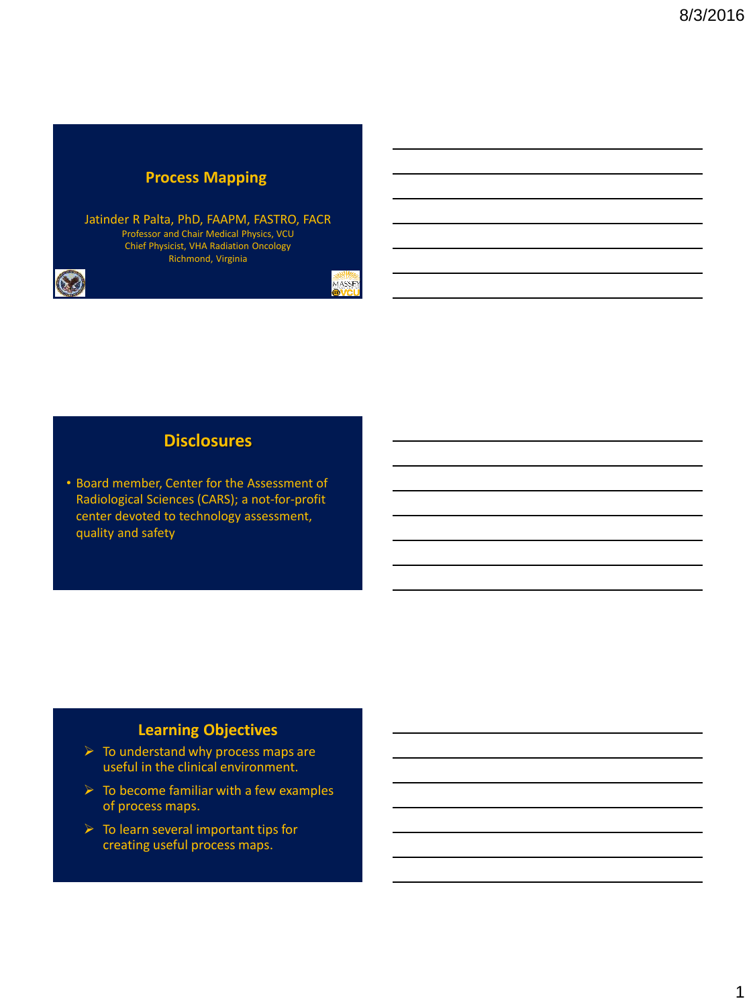### **Process Mapping**

Jatinder R Palta, PhD, FAAPM, FASTRO, FACR Professor and Chair Medical Physics, VCU Chief Physicist, VHA Radiation Oncology Richmond, Virginia

MASSEY

## **Disclosures**

• Board member, Center for the Assessment of Radiological Sciences (CARS); a not-for-profit center devoted to technology assessment, quality and safety

# **Learning Objectives**

- $\triangleright$  To understand why process maps are useful in the clinical environment.
- $\triangleright$  To become familiar with a few examples of process maps.
- $\triangleright$  To learn several important tips for creating useful process maps.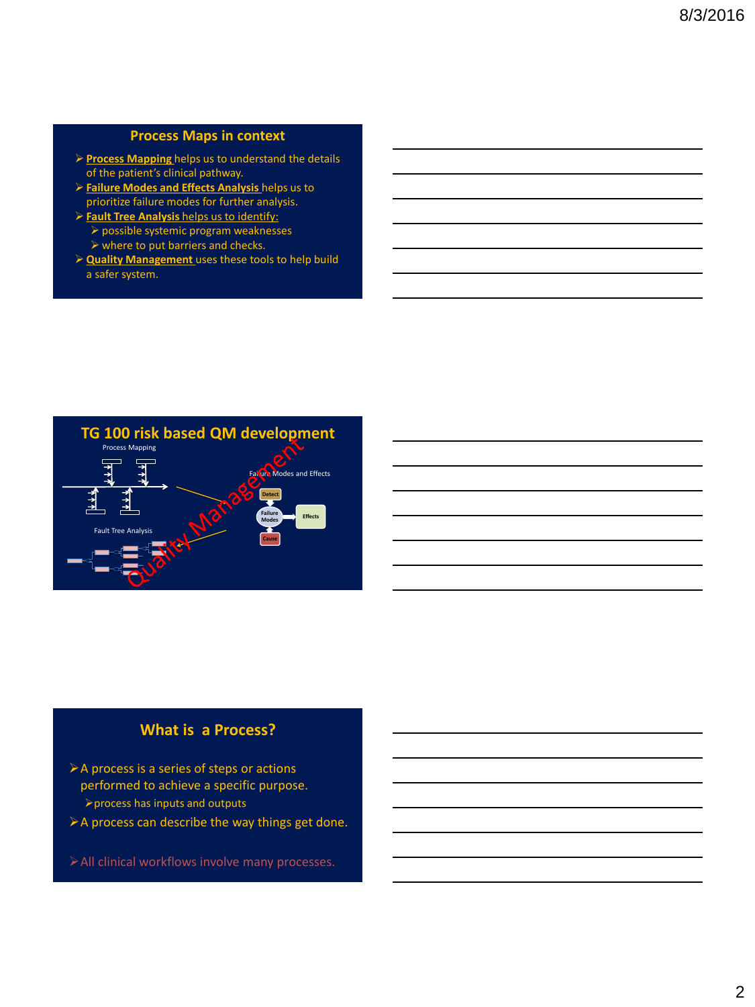#### **Process Maps in context**

- **Process Mapping** helps us to understand the details of the patient's clinical pathway.
- **Failure Modes and Effects Analysis** helps us to prioritize failure modes for further analysis.
- **Fault Tree Analysis** helps us to identify:
	- possible systemic program weaknesses
	- $\triangleright$  where to put barriers and checks.
- **Quality Management** uses these tools to help build a safer system.



#### **What is a Process?**

- A process is a series of steps or actions performed to achieve a specific purpose. process has inputs and outputs
- $\triangleright$  A process can describe the way things get done.
- All clinical workflows involve many processes.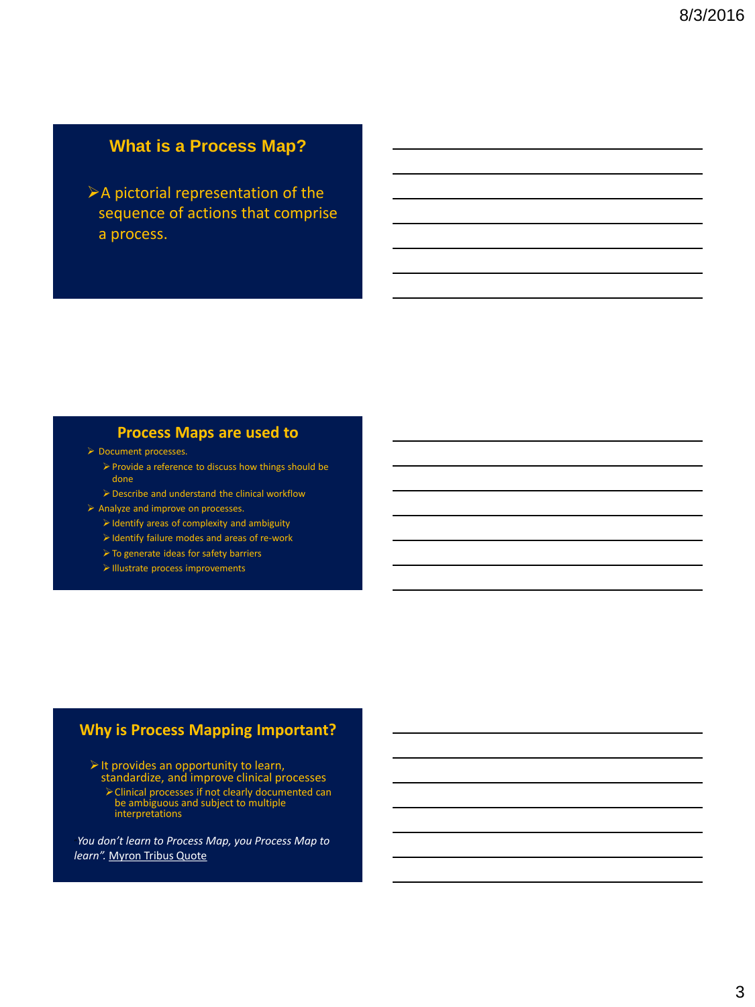# **What is a Process Map?**

A pictorial representation of the sequence of actions that comprise a process.

#### **Process Maps are used to**

- > Document processes.
	- Provide a reference to discuss how things should be done
	- Describe and understand the clinical workflow
- $\triangleright$  Analyze and improve on processes.
	- $\triangleright$  Identify areas of complexity and ambiguity
	- $\triangleright$  Identify failure modes and areas of re-work
	- $\triangleright$  To generate ideas for safety barriers
	- $\triangleright$  Illustrate process improvements

#### **Why is Process Mapping Important?**

 $\triangleright$  It provides an opportunity to learn, standardize, and improve clinical processes

> Clinical processes if not clearly documented can<br>be ambiguous and subject to multiple<br>interpretations

"*You don't learn to Process Map, you Process Map to learn".* Myron Tribus Quote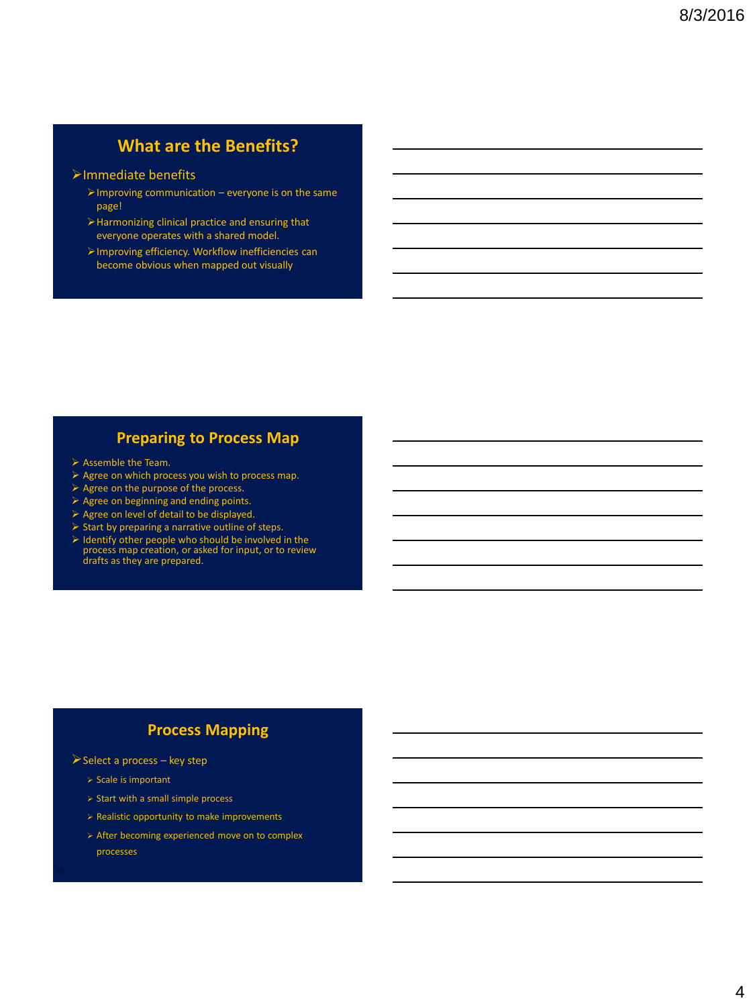# **What are the Benefits?**

#### Immediate benefits

- $\triangleright$  Improving communication everyone is on the same page!
- $\blacktriangleright$  Harmonizing clinical practice and ensuring that everyone operates with a shared model.
- Improving efficiency. Workflow inefficiencies can become obvious when mapped out visually

#### **Preparing to Process Map**

- $\triangleright$  Assemble the Team.
- $\triangleright$  Agree on which process you wish to process map.
- $\triangleright$  Agree on the purpose of the process.
- $\triangleright$  Agree on beginning and ending points.
- $\triangleright$  Agree on level of detail to be displayed.
- $\triangleright$  Start by preparing a narrative outline of steps.
- Identify other people who should be involved in the process map creation, or asked for input, or to review drafts as they are prepared.

## **Process Mapping**

- $\triangleright$  Select a process key step
	- $\triangleright$  Scale is important
	- $\geq$  Start with a small simple process
	- $\triangleright$  Realistic opportunity to make improvements
	- After becoming experienced move on to complex processes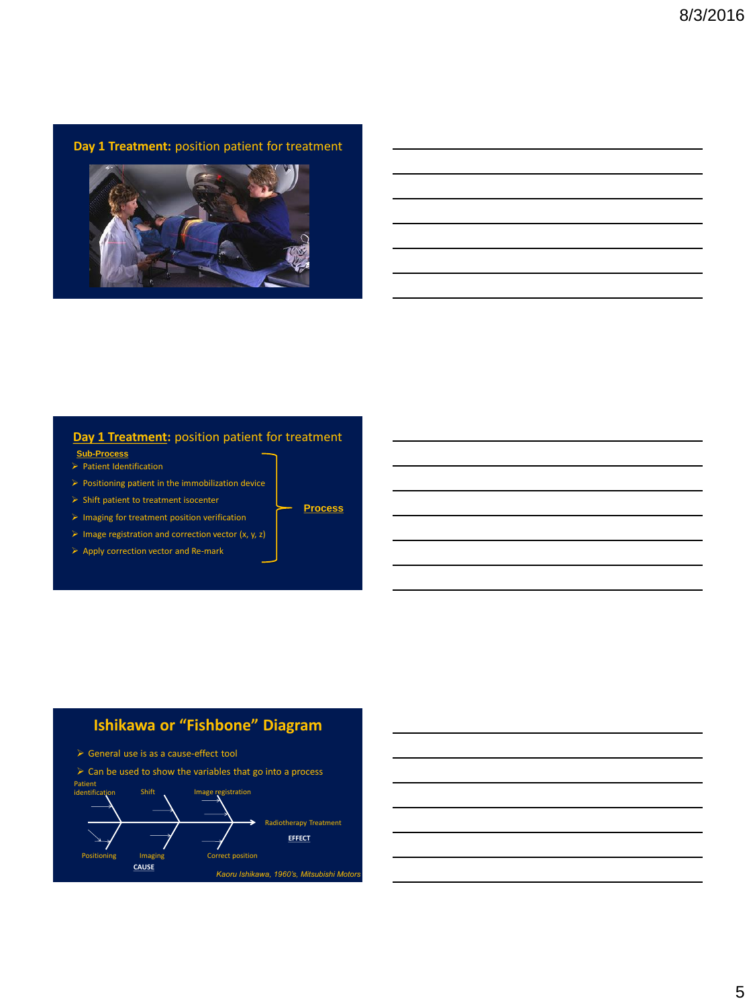**Day 1 Treatment:** position patient for treatment



#### **Day 1 Treatment:** position patient for treatment

**Process**

- **Sub-Process**
- $\triangleright$  Patient Identification
- $\triangleright$  Positioning patient in the immobilization device
- $\triangleright$  Shift patient to treatment isocenter
- $\triangleright$  Imaging for treatment position verification
- $\triangleright$  Image registration and correction vector (x, y, z)
- $\triangleright$  Apply correction vector and Re-mark







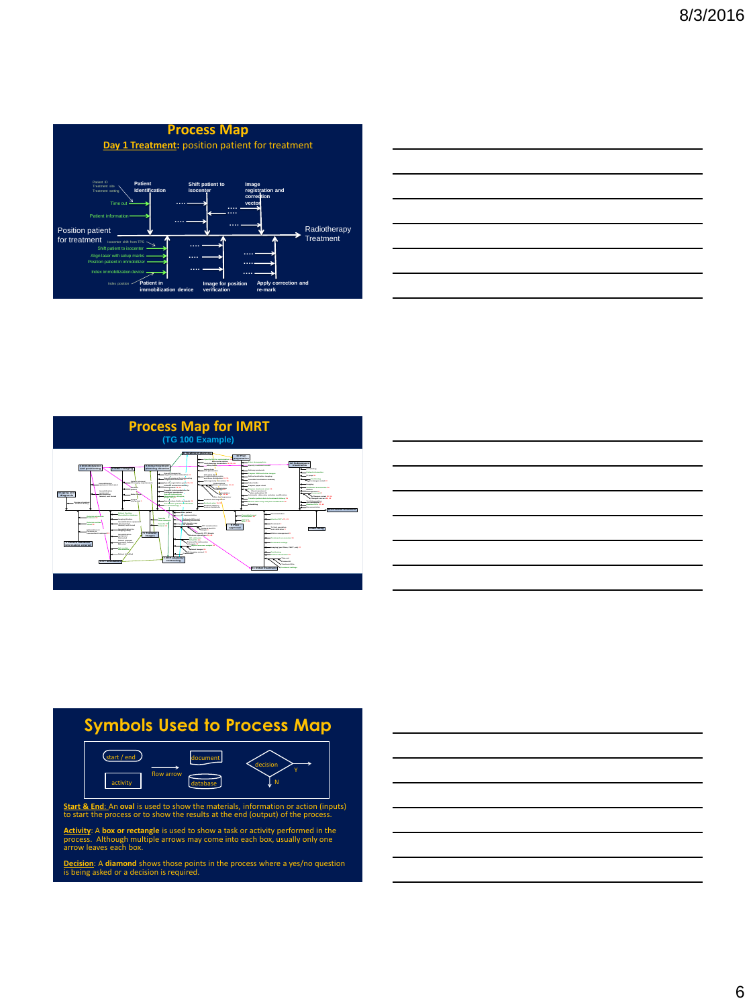

| <u> Alexandro de la contrada de la contrada de la contrada de la contrada de la contrada de la contrada de la co</u> |  |                             |
|----------------------------------------------------------------------------------------------------------------------|--|-----------------------------|
|                                                                                                                      |  |                             |
|                                                                                                                      |  |                             |
| <u> 1989 - Johann Stoff, amerikansk politiker (* 1989)</u>                                                           |  | ___                         |
|                                                                                                                      |  |                             |
|                                                                                                                      |  |                             |
| the contract of the contract of the contract of the contract of the contract of the contract of the contract of      |  | and the control of the con- |
|                                                                                                                      |  |                             |



|                                                                                                 |  | $\overline{\phantom{a}}$ |
|-------------------------------------------------------------------------------------------------|--|--------------------------|
| the contract of the contract of the contract of the contract of the contract of the contract of |  |                          |
|                                                                                                 |  | ___                      |
|                                                                                                 |  |                          |
|                                                                                                 |  |                          |
|                                                                                                 |  |                          |

# **Symbols Used to Process Map**



**Activity**: A **box or rectangle** is used to show a task or activity performed in the process. Although multiple arrows may come into each box, usually only one arrow leaves each box.

**Decision**: A **diamond** shows those points in the process where a yes/no question is being asked or a decision is required.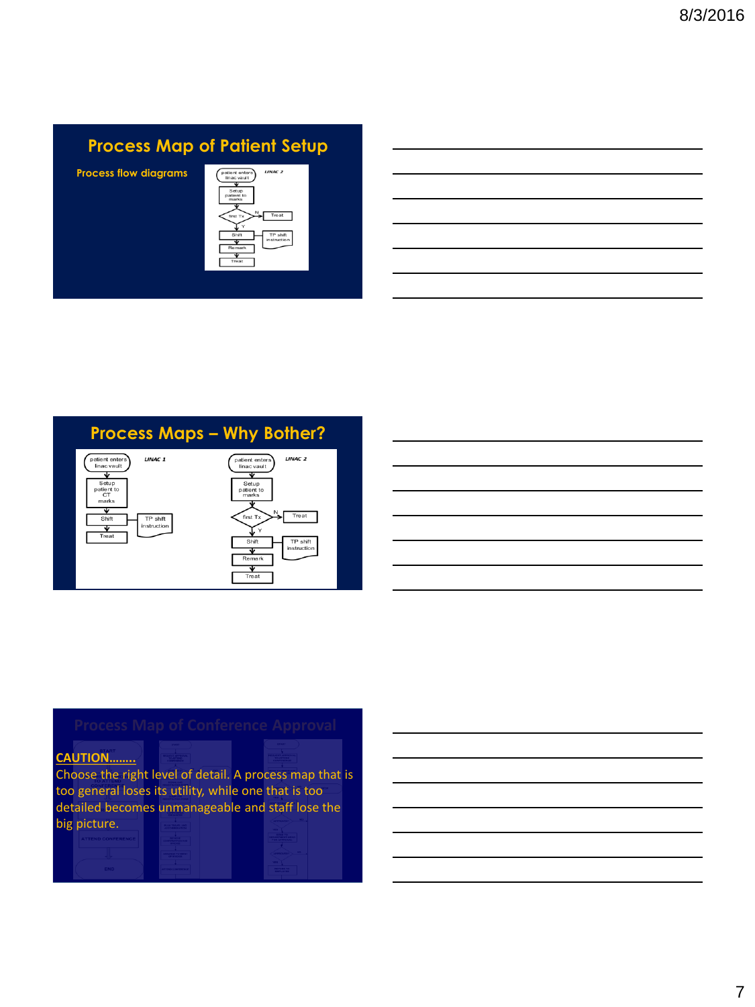# **Process Map of Patient Setup**

**Process flow diagrams**



# **Process Maps – Why Bother?**





# **CAUTION……..**

Choose the right level of detail. A process map that is too general loses its utility, while one that is too detailed becomes unmanageable and staff lose the big picture.